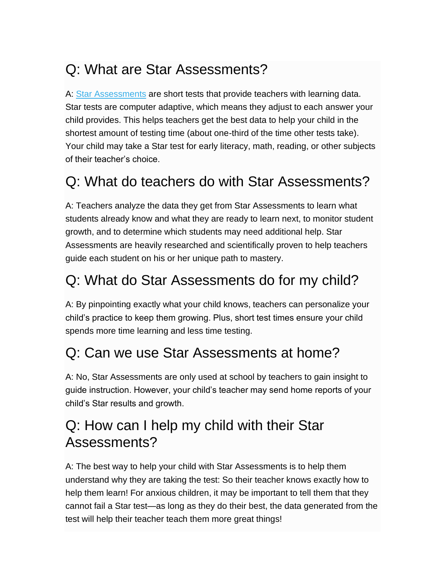# Q: What are Star Assessments?

A: Star [Assessments](https://www.renaissance.com/products/assessment/star-360/) are short tests that provide teachers with learning data. Star tests are computer adaptive, which means they adjust to each answer your child provides. This helps teachers get the best data to help your child in the shortest amount of testing time (about one-third of the time other tests take). Your child may take a Star test for early literacy, math, reading, or other subjects of their teacher's choice.

## Q: What do teachers do with Star Assessments?

A: Teachers analyze the data they get from Star Assessments to learn what students already know and what they are ready to learn next, to monitor student growth, and to determine which students may need additional help. Star Assessments are heavily researched and scientifically proven to help teachers guide each student on his or her unique path to mastery.

### Q: What do Star Assessments do for my child?

A: By pinpointing exactly what your child knows, teachers can personalize your child's practice to keep them growing. Plus, short test times ensure your child spends more time learning and less time testing.

#### Q: Can we use Star Assessments at home?

A: No, Star Assessments are only used at school by teachers to gain insight to guide instruction. However, your child's teacher may send home reports of your child's Star results and growth.

#### Q: How can I help my child with their Star Assessments?

A: The best way to help your child with Star Assessments is to help them understand why they are taking the test: So their teacher knows exactly how to help them learn! For anxious children, it may be important to tell them that they cannot fail a Star test—as long as they do their best, the data generated from the test will help their teacher teach them more great things!